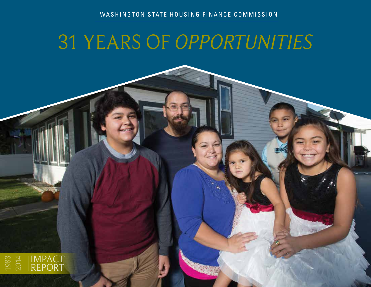### WASHINGTON STATE HOUSING FINANCE COMMISSION

# 31 YEARS OF *OPPORTUNITIES*

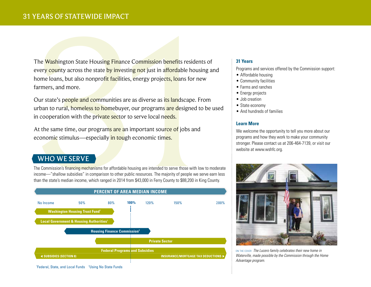# 31 YEARS OF STATEWIDE IMPACT

TEARS OF STATEWIDE IMPACT<br>
The Washington State Housing Finance Commission benefits residents of<br>
every country across the state by investing not just in affordable housing an<br>
former loans, but also nonprofit facilities, every county across the state by investing not just in affordable housing and home loans, but also nonprofit facilities, energy projects, loans for new farmers, and more.

Our state's people and communities are as diverse as its landscape. From urban to rural, homeless to homebuyer, our programs are designed to be used in cooperation with the private sector to serve local needs.

At the same time, our programs are an important source of jobs and economic stimulus—especially in tough economic times.

### WHO WE SERVE

The Commission's financing mechanisms for affordable housing are intended to serve those with low to moderate income—"shallow subsidies" in comparison to other public resources. The majority of people we serve earn less than the state's median income, which ranged in 2014 from \$43,000 in Ferry County to \$88,200 in King County.



#### <sup>1</sup>Federal, State, and Local Funds <sup>2</sup>Using No State Funds

#### **31 Years**

Programs and services offered by the Commission support:

- Affordable housing
- Community facilities
- Farms and ranches
- Energy projects
- Job creation
- State economy
- And hundreds of families

#### **Learn More**

We welcome the opportunity to tell you more about our programs and how they work to make your community stronger. Please contact us at 206-464-7139, or visit our website at www.wshfc.org.



ON THE COVER *The Lucero family celebrates their new home in Waterville, made possible by the Commission through the Home Advantage program.*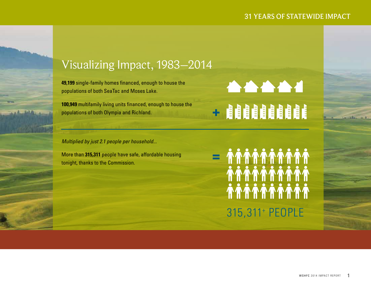# 31 YEARS OF STATEWIDE IMPACT



**49,199** single-family homes financed, enough to house the populations of both SeaTac and Moses Lake.

**100,949** multifamily living units financed, enough to house the populations of both Olympia and Richland.

*Multiplied by just 2.1 people per household...*

More than **315,311** people have safe, affordable housing tonight, thanks to the Commission.

315,311+ PEOPLE

**AAAA4** 

 $\pm$  and an and a set  $\pm$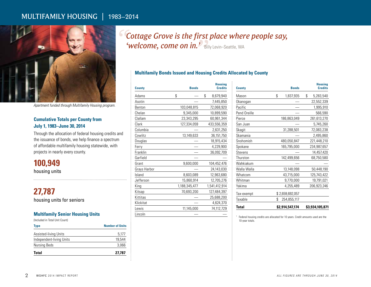# MULTIFAMILY HOUSING | 1983–2014



*Apartment funded through Multifamily Housing program.*

#### **Cumulative Totals per County from July 1, 1983–June 30, 2014**

Through the allocation of federal housing credits and the issuance of bonds, we help finance a spectrum of affordable multifamily housing statewide, with projects in nearly every county.

**100,949** housing units

**27,787** housing units for seniors

#### **Multifamily Senior Housing Units**

(Included in Total Unit Count)

| Type                     | <b>Number of Units</b> |
|--------------------------|------------------------|
| Assisted-living Units    | 5,177                  |
| Independent-living Units | 19.544                 |
| Nursing Beds             | 3,066                  |
| <b>Total</b>             | 27,787                 |

*Cottage Grove is the first place where people say, " 'welcome, come on in.* Billy Levin–Seattle, WA

#### **Multifamily Bonds Issued and Housing Credits Allocated by County**

| <b>County</b> | <b>Bonds</b>  | <b>Housing</b><br><b>Credits</b> |
|---------------|---------------|----------------------------------|
| Adams         | \$            | \$<br>8,679,940                  |
| Asotin        |               | 7,445,850                        |
| Benton        | 103,048,815   | 72,068,920                       |
| Chelan        | 9,345,000     | 10,899,590                       |
| Clallam       | 23,343,295    | 60,961,344                       |
| Clark         | 127,334,059   | 433,556,359                      |
| Columbia      |               | 2,631,250                        |
| Cowlitz       | 13,149,633    | 36,151,750                       |
| Douglas       |               | 18,915,434                       |
| Ferry         |               | 4,229,900                        |
| Franklin      |               | 36,092,709                       |
| Garfield      |               |                                  |
| Grant         | 9,600,000     | 104,452,476                      |
| Grays Harbor  |               | 24,143,030                       |
| Island        | 8,603,089     | 12,963,680                       |
| Jefferson     | 15,860,914    | 12,705,276                       |
| King          | 1,188,345,477 | 1,541,412,914                    |
| Kitsap        | 70,693,200    | 127,484,397                      |
| Kittitas      |               | 25,688,200                       |
| Klickitat     |               | 4,624,370                        |
| Lewis         | 11,145,000    | 74,112,729                       |
| Lincoln       |               |                                  |

| <b>County</b> | <b>Bonds</b>      | <b>Housing</b><br><b>Credits</b> |
|---------------|-------------------|----------------------------------|
| Mason         | \$<br>1,837,935   | \$<br>5,283,540                  |
| Okanogan      |                   | 22,552,339                       |
| Pacific       |                   | 1,995,910                        |
| Pend Oreille  |                   | 566,590                          |
| Pierce        | 186,863,049       | 261,613,270                      |
| San Juan      |                   | 5,745,260                        |
| Skagit        | 31,288,501        | 72,083,238                       |
| Skamania      |                   | 2,495,860                        |
| Snohomish     | 480,050,847       | 221,448,210                      |
| Spokane       | 165,795,000       | 234,987,657                      |
| Stevens       |                   | 14,457,420                       |
| Thurston      | 142,499,656       | 68,750,580                       |
| Wahkiakum     |                   |                                  |
| Walla Walla   | 13,148,098        | 50,448,190                       |
| Whatcom       | 43,715,000        | 125,743,422                      |
| Whitman       | 9,770,000         | 19,791,021                       |
| Yakima        | 4,255,489         | 206,923,246                      |
| Tax-exempt    | \$2,659,692,057   |                                  |
| Taxable       | \$<br>254,855,117 |                                  |
| Total         | \$2.914.547.174   | \$3,934,105,871                  |

<sup>1</sup> Federal housing credits are allocated for 10 years. Credit amounts used are the 10-year totals.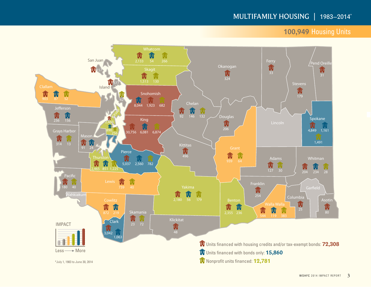# MULTIFAMILY HOUSING | 1983–2014\*

# **100,949** Housing Units

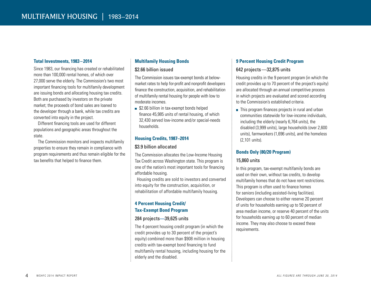#### **Total Investments, 1983 – 2014**

Since 1983, our financing has created or rehabilitated more than 100,000 rental homes, of which over 27,000 serve the elderly. The Commission's two most important financing tools for multifamily development are issuing bonds and allocating housing tax credits. Both are purchased by investors on the private market; the proceeds of bond sales are loaned to the developer through a bank, while tax credits are converted into equity in the project.

Different financing tools are used for different populations and geographic areas throughout the state.

The Commission monitors and inspects multifamily properties to ensure they remain in compliance with program requirements and thus remain eligible for the tax benefits that helped to finance them.

#### **Multifamily Housing Bonds**

#### \$2.66 billion issued

The Commission issues tax-exempt bonds at belowmarket rates to help for-profit and nonprofit developers finance the construction, acquisition, and rehabilitation of multifamily rental housing for people with low to moderate incomes.

**\$2.66 billion in tax-exempt bonds helped** finance 45,985 units of rental housing, of which 32,430 served low-income and/or special-needs households.

#### **Housing Credits, 1987–2014**

#### \$3.9 billion allocated

The Commission allocates the Low-Income Housing Tax Credit across Washington state. This program is one of the nation's most important tools for financing affordable housing.

Housing credits are sold to investors and converted into equity for the construction, acquisition, or rehabilitation of affordable multifamily housing.

#### **4 Percent Housing Credit/ Tax-Exempt Bond Program**

#### 284 projects**—**39,625 units

The 4 percent housing credit program (in which the credit provides up to 30 percent of the project's equity) combined more than \$908 million in housing credits with tax-exempt bond financing to fund multifamily rental housing, including housing for the elderly and the disabled.

#### **9 Percent Housing Credit Program**

#### 642 projects—32,875 units

Housing credits in the 9 percent program (in which the credit provides up to 70 percent of the project's equity) are allocated through an annual competitive process in which projects are evaluated and scored according to the Commission's established criteria.

■ This program finances projects in rural and urban communities statewide for low-income individuals, including the elderly (nearly 6,764 units), the disabled (3,999 units), large households (over 2,600 units), farmworkers (1,696 units), and the homeless (2,101 units).

#### **Bonds Only (80/20 Program)**

#### 15,860 units

In this program, tax-exempt multifamily bonds are used on their own, without tax credits, to develop multifamily homes that do not have rent restrictions. This program is often used to finance homes for seniors (including assisted-living facilities). Developers can choose to either reserve 20 percent of units for households earning up to 50 percent of area median income, or reserve 40 percent of the units for households earning up to 60 percent of median income. They may also choose to exceed these requirements.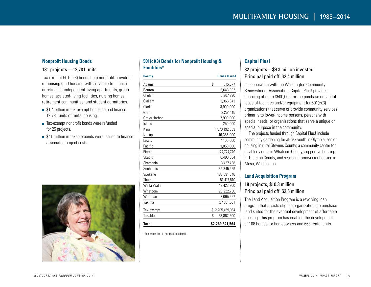#### **Nonprofit Housing Bonds**

#### 131 projects—12,781 units

Tax-exempt 501(c)(3) bonds help nonprofit providers of housing (and housing with services) to finance or refinance independent-living apartments, group homes, assisted-living facilities, nursing homes, retirement communities, and student dormitories.

- **\$1.4 billion in tax-exempt bonds helped finance** 12,781 units of rental housing.
- Tax-exempt nonprofit bonds were refunded for 25 projects.
- **\$41 million in taxable bonds were issued to finance** associated project costs.



#### **501(c)(3) Bonds for Nonprofit Housing & Facilities\***

| <b>County</b> | <b>Bonds Issued</b> |  |  |
|---------------|---------------------|--|--|
| Adams         | \$<br>815,677       |  |  |
| Benton        | 5,643,802           |  |  |
| Chelan        | 5,307,390           |  |  |
| Clallam       | 3,366,843           |  |  |
| Clark         | 3,900,000           |  |  |
| Grant         | 2,254,115           |  |  |
| Grays Harbor  | 2,900,000           |  |  |
| Island        | 250,000             |  |  |
| King          | 1,570,192,053       |  |  |
| Kitsap        | 46,386,000          |  |  |
| Lewis         | 1,100,000           |  |  |
| Pacific       | 3,050,000           |  |  |
| Pierce        | 127,777,749         |  |  |
| Skagit        | 6,490,004           |  |  |
| Skamania      | 3,427,438           |  |  |
| Snohomish     | 89,345,429          |  |  |
| Spokane       | 183,591,546         |  |  |
| Thurston      | 81,417,810          |  |  |
| Walla Walla   | 13,422,800          |  |  |
| Whatcom       | 25,222,750          |  |  |
| Whitman       | 2,095,697           |  |  |
| Yakima        | 27,501,561          |  |  |
| Tax-exempt    | \$<br>2,205,459,064 |  |  |
| Taxable       | \$<br>63,862,500    |  |  |
| <b>Total</b>  | \$2,269,321,564     |  |  |

#### \*See pages 10 –11 for facilities detail.

#### **Capital Plus!**

#### 32 projects—\$9.3 million invested Principal paid off: \$2.4 million

In cooperation with the Washington Community Reinvestment Association, Capital Plus! provides financing of up to \$500,000 for the purchase or capital lease of facilities and/or equipment for 501(c)(3) organizations that serve or provide community services primarily to lower-income persons, persons with special needs, or organizations that serve a unique or special purpose in the community.

The projects funded through Capital Plus! include community gardening for at-risk youth in Olympia; senior housing in rural Stevens County; a community center for disabled adults in Whatcom County; supportive housing in Thurston County; and seasonal farmworker housing in Mesa, Washington.

#### **Land Acquisition Program**

#### 18 projects, \$10.3 million Principal paid off: \$2.5 million

The Land Acquisition Program is a revolving loan program that assists eligible organizations to purchase land suited for the eventual development of affordable housing. This program has enabled the development of 108 homes for homeowners and 663 rental units.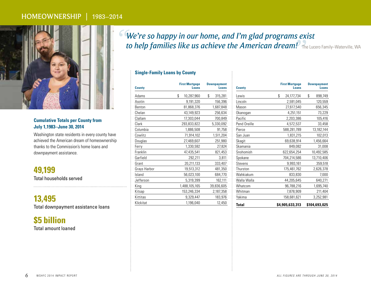## HOMEOWNERSHIP | 1983–2014



#### **Cumulative Totals per County from July 1,1983–June 30, 2014**

Washington state residents in every county have achieved the American dream of homeownership thanks to the Commission's home loans and downpayment assistance.

**49,199** Total households served

**13,495** Total downpayment assistance loans

**\$5 billion** Total amount loaned *We're so happy in our home, and I'm glad programs exist " to help families like us achieve the American dream!"*The Lucero Family–Waterville, WA

#### **Single-Family Loans by County**

| <b>County</b> | <b>First Mortgage</b><br>Loans | <b>Downpayment</b><br><b>Loans</b> |
|---------------|--------------------------------|------------------------------------|
| Adams         | \$<br>10,287,960               | \$<br>315,281                      |
| Asotin        | 9,191,320                      | 156,396                            |
| Benton        | 81,868,376                     | 1,687,848                          |
| Chelan        | 43,149,923                     | 256,634                            |
| Clallam       | 17,303,044                     | 700,849                            |
| Clark         | 293,833,822                    | 5,330,092                          |
| Columbia      | 1,886,508                      | 91,758                             |
| Cowlitz       | 71,914,102                     | 1,511,204                          |
| Douglas       | 27,469,607                     | 251,980                            |
| Ferry         | 1,330,592                      | 27,824                             |
| Franklin      | 47,435,541                     | 821,453                            |
| Garfield      | 292,211                        | 3,811                              |
| Grant         | 20,211,133                     | 333,407                            |
| Grays Harbor  | 19,513,312                     | 481,350                            |
| Island        | 56,023,100                     | 684,770                            |
| Jefferson     | 5,319,399                      | 162,111                            |
| King          | 1,488,105,165                  | 39,836,605                         |
| Kitsap        | 153,246,334                    | 2,187,358                          |
| Kittitas      | 9,329,447                      | 183,976                            |
| Klickitat     | 1,196,040                      | 12,450                             |

| <b>County</b> | <b>First Mortgage</b><br><b>Loans</b> | <b>Downpayment</b><br><b>Loans</b> |
|---------------|---------------------------------------|------------------------------------|
| Lewis         | \$<br>24,177,734                      | \$<br>898,749                      |
| Lincoln       | 2,591,045                             | 120,559                            |
| Mason         | 27,617,540                            | 656,345                            |
| Okanogan      | 4,251,151                             | 73,229                             |
| Pacific       | 2,203,386                             | 105,416                            |
| Pend Oreille  | 4,572,537                             | 33,458                             |
| Pierce        | 588,281,789                           | 13,182,144                         |
| San Juan      | 1,831,215                             | 102,013                            |
| Skagit        | 69,638,914                            | 1,456,664                          |
| Skamania      | 849,082                               | 31,008                             |
| Snohomish     | 622,654,254                           | 10,492,585                         |
| Spokane       | 704,214,586                           | 13,710,406                         |
| Stevens       | 9,993,161                             | 359,518                            |
| Thurston      | 175,461,762                           | 2,626,378                          |
| Wahkiakum     | 833,830                               | 7,000                              |
| Walla Walla   | 44,205,645                            | 640,271                            |
| Whatcom       | 96,788,216                            | 1,695,740                          |
| Whitman       | 7,878,909                             | 211,404                            |
| Yakima        | 158,681,621                           | 3,252,981                          |
| <b>Total</b>  | \$4,905,633,313                       | \$104,693,025                      |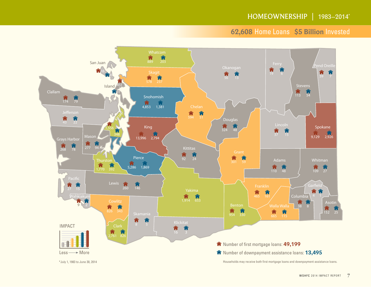# **62,608** Home Loans **\$5 Billion** Invested

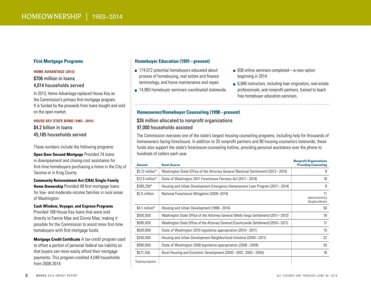#### **First Mortgage Programs**

#### **HOME ADVANTAGE (2013)**

#### \$706 million in loans 4,014 households served

In 2013, Home Advantage replaced House Key as the Commission's primary first-mortgage program. It is funded by the proceeds from loans bought and sold on the open market.

#### **HOUSE KEY STATE BOND (1983 – 2014)**

\$4.2 billion in loans 45,185 households served

These numbers include the following programs:

**Open Door Second Mortgage** Provided 74 loans in downpayment and closing-cost assistance for first-time homebuyers purchasing a home in the City of Tacoma or in King County.

**Community Reinvestment Act (CRA) Single-Family Home Ownership** Provided 49 first-mortgage loans for low- and moderate-income families in rural areas of Washington.

#### **Cash Window, Voyager, and Express Programs**

Provided 168 House Key loans that were sold directly to Fannie Mae and Ginnie Mae, making it possible for the Commission to assist more first-time homebuyers with first-mortgage funds.

**Mortgage Credit Certificate** A tax-credit program used to offset a portion of personal federal tax liability so that buyers can more easily afford their mortgage payments. This program credited 4,048 households from 2008-2014.

#### **Homebuyer Education (1991– present)**

- 174,072 potential homebuyers educated about process of homebuying, real estate and finance terminology, and home maintenance and repair.
- 14,965 homebuyer seminars coordinated statewide.
- 658 online seminars completed—a new option beginning in 2014.
- 6,946 instructors, including loan originators, real-estate professionals, and nonprofit partners, trained to teach free homebuyer education seminars.

#### **Homeowner/Homebuyer Counseling (1998–present)**

#### \$26 million allocated to nonprofit organizations 97,000 households assisted

The Commission oversees one of the state's largest housing counseling programs, including help for thousands of homeowners facing foreclosure. In addition to 20 nonprofit partners and 90 housing counselors statewide, these funds also support the state's foreclosure counseling hotline, providing personal assistance over the phone to hundreds of callers each year.

| <b>Amount</b>     | <b>Grant Source</b>                                                                  | <b>NUMBROTH ORGANIZATIONS</b><br><b>Providing Counseling</b> |
|-------------------|--------------------------------------------------------------------------------------|--------------------------------------------------------------|
| $$3.12$ million*  | Washington State Office of the Attorney General (National Settlement) (2012–2014)    | 9                                                            |
| $$12.5$ million*  | State of Washington 2011 Foreclosure Fairness Act (2011 - 2014)                      | 18                                                           |
| \$385,250*        | Housing and Urban Development Emergency Homeowners Loan Program (2011–2014)          | 8                                                            |
| \$2.5 million     | National Foreclosure Mitigation (2008-2014)                                          | 11<br>(administered by<br>NeighborWorks)                     |
| \$4.1 million $*$ | Housing and Urban Development (1998–2014)                                            | 50                                                           |
| \$550,000         | Washington State Office of the Attorney General (Wells Fargo Settlement) (2011–2012) | 16                                                           |
| \$595,000         | Washington State Office of the Attorney General (Countrywide Settlement) (2010–2011) | 11                                                           |
| \$500,000         | State of Washington 2010 legislative appropriation (2010–2011)                       | 15                                                           |
| \$250,000         | Housing and Urban Development Neighborhood Initiative (2009–2011)                    | 22                                                           |
| \$990,000         | State of Washington 2008 legislative appropriation (2008–2009)                       | 25                                                           |
| \$571,355         | Rural Housing and Economic Development (2000–2001, 2003–2004)                        | 16                                                           |
| "Ongoing programs |                                                                                      |                                                              |

**Nonprofit Organizations**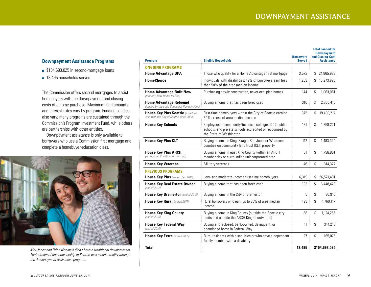#### **Downpayment Assistance Programs**

- **\$104,693,025 in second-mortgage loans**
- 13,495 households served

The Commission offers second mortgages to assist homebuyers with the downpayment and closing costs of a home purchase. Maximum loan amounts and interest rates vary by program. Funding sources also vary; many programs are sustained through the Commission's Program Investment Fund, while others are partnerships with other entities.

Downpayment assistance is only available to borrowers who use a Commission first mortgage and complete a homebuyer-education class.



*Mei Jones and Brian Nozynski didn't have a traditional downpayment. Their dream of homeownership in Seattle was made a reality through the downpayment assistance program.*

| <b>Eligible Households</b><br><b>Program</b>                                           |                                                                                                                                               | <b>Borrowers</b><br><b>Served</b> | <b>Total Loaned for</b><br><b>Downpayment</b><br>and Closing-Cost<br><b>Assistance</b> |
|----------------------------------------------------------------------------------------|-----------------------------------------------------------------------------------------------------------------------------------------------|-----------------------------------|----------------------------------------------------------------------------------------|
| <b>ONGOING PROGRAMS</b>                                                                |                                                                                                                                               |                                   |                                                                                        |
| <b>Home Advantage DPA</b>                                                              | Those who qualify for a Home Advantage first mortgage                                                                                         | 3,572                             | \$<br>24,865,983                                                                       |
| <b>HomeChoice</b>                                                                      | Individuals with disabilities; 42% of borrowers earn less<br>than 50% of the area median income                                               | 1.203                             | 15,273,995<br>\$                                                                       |
| <b>Home Advantage Built New</b><br>(formerly New Home for You)                         | Purchasing newly constructed, never-occupied homes                                                                                            | 144                               | \$<br>1,063,081                                                                        |
| <b>Home Advantage Rebound</b><br>(funded by the state Consumer Remedy Fund)            | Buying a home that has been foreclosed                                                                                                        | 310                               | \$<br>2,806,416                                                                        |
| <b>House Key Plus Seattle</b> la partner-<br>ship with the City of Seattle since 2004) | First-time homebuyers within the City of Seattle earning<br>80% or less of area median income                                                 | 375                               | \$<br>19,400,214                                                                       |
| <b>House Key Schools</b>                                                               | Employees of community/technical colleges, K-12 public<br>schools, and private schools accredited or recognized by<br>the State of Washington | 181                               | \$<br>1,358,221                                                                        |
| <b>House Key Plus CLT</b>                                                              | Buying a home in King, Skagit, San Juan, or Whatcom<br>counties on community land trust (CLT) property                                        | 117                               | \$<br>1.483.340                                                                        |
| <b>House Key Plus ARCH</b><br>(A Regional Coalition for Housing)                       | Buying a home in east King County within an ARCH<br>member city or surrounding unincorporated area                                            | 61                                | \$<br>1.756.961                                                                        |
| <b>House Key Veterans</b>                                                              | Military veterans                                                                                                                             | 46                                | \$<br>314,377                                                                          |
| <b>PREVIOUS PROGRAMS</b>                                                               |                                                                                                                                               |                                   |                                                                                        |
| House Key Plus (ended Jan. 2013)                                                       | Low- and moderate-income first-time homebuyers                                                                                                | 6,319                             | \$<br>26,521,431                                                                       |
| <b>House Key Real Estate Owned</b><br>lended 2012)                                     | Buying a home that has been foreclosed                                                                                                        | 893                               | \$<br>6,448,429                                                                        |
| House Key Bremerton (ended 2012)                                                       | Buying a home in the City of Bremerton                                                                                                        | 5                                 | \$<br>36,916                                                                           |
| House Key Rural (ended 2011)                                                           | Rural borrowers who earn up to 80% of area median<br>income                                                                                   | 193                               | \$<br>1,760,117                                                                        |
| <b>House Key King County</b><br>(ended 2010)                                           | Buying a home in King County (outside the Seattle city<br>limits and outside the ARCH King County area)                                       | 38                                | \$<br>1,124,256                                                                        |
| <b>House Key Federal Way</b><br>(ended 2010)                                           | Buying a foreclosed, bank-owned, delinquent, or<br>abandoned home in Federal Way                                                              | 11                                | \$<br>314,213                                                                          |
| <b>House Key Extra</b> (ended 2005)                                                    | Rural residents with disabilities or who have a dependent<br>family member with a disability                                                  | 27                                | $\mathbb{S}$<br>165,075                                                                |
| Total                                                                                  |                                                                                                                                               | 13,495                            | \$104,693,025                                                                          |
|                                                                                        |                                                                                                                                               |                                   |                                                                                        |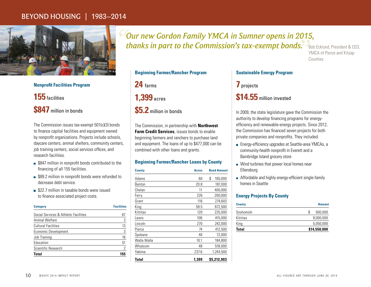# BEYOND HOUSING | 1983–2014



### **Nonprofit Facilities Program**

**155** facilities

# **\$847** million in bonds

The Commission issues tax-exempt 501(c)(3) bonds to finance capital facilities and equipment owned by nonprofit organizations. Projects include schools, daycare centers, animal shelters, community centers, job training centers, social services offices, and research facilities.

- **S847 million in nonprofit bonds contributed to the** financing of all 155 facilities.
- **\$89.2 million in nonprofit bonds were refunded to** decrease debt service.
- **\$22.7 million in taxable bonds were issued** to finance associated project costs.

| <b>Category</b>                       | <b>Facilities</b> |  |
|---------------------------------------|-------------------|--|
| Social Services & Athletic Facilities | 67                |  |
| Animal Welfare                        | 3                 |  |
| <b>Cultural Facilities</b>            | 13                |  |
| Economic Development                  | 3                 |  |
| Job Training                          | 16                |  |
| Education                             | 51                |  |
| Scientific Research                   | 2                 |  |
| Total                                 | 155               |  |

*Our new Gordon Family YMCA in Sumner opens in 2015, " thanks in part to the Commission's tax-exempt bonds."*Bob Ecklund, President & CEO,

YMCA of Pierce and Kitsap **Counties** 

|  | <b>Beginning Farmer/Rancher Program</b> |  |
|--|-----------------------------------------|--|
|--|-----------------------------------------|--|

**24** farms

**1,399** acres

# **\$5.2** million in bonds

The Commission, in partnership with **Northwest Farm Credit Services**, issues bonds to enable beginning farmers and ranchers to purchase land and equipment. The loans of up to \$477,000 can be combined with other loans and grants.

#### **Beginning Farmer/Rancher Loans by County**

| <b>County</b> | <b>Acres</b> |    | <b>Bond Amount</b> |
|---------------|--------------|----|--------------------|
| Adams         | 60           | \$ | 165,000            |
| Benton        | 20.8         |    | 187,000            |
| Chelan        | 11           |    | 400,000            |
| Ferry         | 226          |    | 200,000            |
| Grant         | 116          |    | 274,603            |
| King          | 59.5         |    | 672,500            |
| Kittitas      | 120          |    | 225,000            |
| Lewis         | 106          |    | 415,000            |
| Lincoln       | 270          |    | 242,000            |
| Pierce        | 74           |    | 412,500            |
| Spokane       | 40           |    | 72,000             |
| Walla Walla   | 10.1         |    | 184,800            |
| Whatcom       | 48           |    | 518,000            |
| Yakima        | 237.6        |    | 1,244,500          |
| Total         | 1.399        |    | \$5,212,903        |

#### **Sustainable Energy Program**

**7** projects

# **\$14.55** million invested

In 2009, the state legislature gave the Commission the authority to develop financing programs for energyefficiency and renewable-energy projects. Since 2012, the Commission has financed seven projects for both private companies and nonprofits. They included:

- Energy-efficiency upgrades at Seattle-area YMCAs, a community-health nonprofit in Everett and a Bainbridge Island grocery store
- Wind turbines that power local homes near Ellensburg
- **Affordable and highly energy-efficient single-family** homes in Seattle

#### **Energy Projects By County**

| <b>County</b> | <b>Amount</b> |
|---------------|---------------|
| Snohomish     | \$<br>500,000 |
| Kittitas      | 9.000.000     |
| King          | 5,050,000     |
| <b>Total</b>  | \$14,550,000  |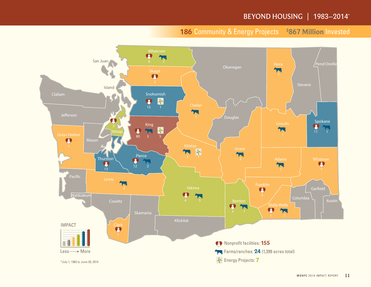# BEYOND HOUSING | 1983-2014\*

### **186** Community & Energy Projects **\$ 867 Million** Invested

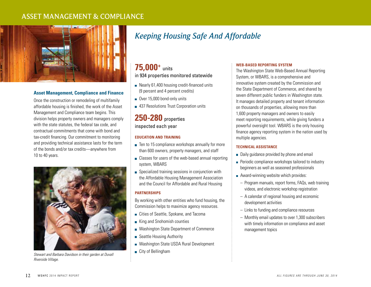# ASSET MANAGEMENT & COMPLIANCE



#### **Asset Management, Compliance and Finance**

Once the construction or remodeling of multifamily affordable housing is finished, the work of the Asset Management and Compliance team begins. This division helps property owners and managers comply with the state statutes, the federal tax code, and contractual commitments that come with bond and tax-credit financing. Our commitment to monitoring and providing technical assistance lasts for the term of the bonds and/or tax credits—anywhere from 10 to 40 years.



*Stewart and Barbara Davidson in their garden at Duvall Riverside Village.*

# *Keeping Housing Safe And Affordable*

# **75,000+** units

#### in 934 properties monitored statewide

- Nearly 61,400 housing credit-financed units (9 percent and 4 percent credits)
- Over 15,000 bond-only units
- 437 Resolutions Trust Corporation units

## **250-280** properties inspected each year

#### **EDUCATION AND TRAINING**

- Ten to 15 compliance workshops annually for more than 600 owners, property managers, and staff
- **Classes for users of the web-based annual reporting** system, WBARS
- Specialized training sessions in conjunction with the Affordable Housing Management Association and the Council for Affordable and Rural Housing

#### **PARTNERSHIPS**

By working with other entities who fund housing, the Commission helps to maximize agency resources.

- Cities of Seattle, Spokane, and Tacoma
- King and Snohomish counties
- Washington State Department of Commerce
- Seattle Housing Authority
- Washington State USDA Rural Development
- City of Bellingham

#### **WEB-BASED REPORTING SYSTEM**

The Washington State Web-Based Annual Reporting System, or WBARS, is a comprehensive and innovative system created by the Commission and the State Department of Commerce, and shared by seven different public funders in Washington state. It manages detailed property and tenant information on thousands of properties, allowing more than 1,600 property managers and owners to easily meet reporting requirements, while giving funders a powerful oversight tool. WBARS is the only housing finance agency reporting system in the nation used by multiple agencies.

#### **TECHNICAL ASSISTANCE**

- Daily guidance provided by phone and email
- **Periodic compliance workshops tailored to industry** beginners as well as seasoned professionals
- Award-winning website which provides:
	- Program manuals, report forms, FAQs, web training videos, and electronic workshop registration
	- A calendar of regional housing and economic development activities
	- Links to funding and compliance resources
	- Monthly email updates to over 1,300 subscribers with timely information on compliance and asset management topics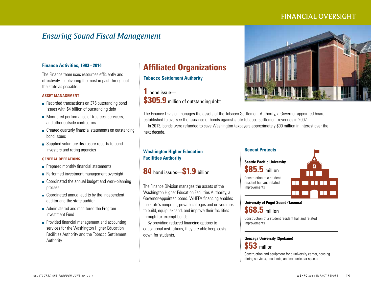# FINANCIAL OVERSIGHT

# *Ensuring Sound Fiscal Management*

#### **Finance Activities, 1983 –2014**

The Finance team uses resources efficiently and effectively—delivering the most impact throughout the state as possible.

#### **ASSET MANAGEMENT**

- Recorded transactions on 375 outstanding bond issues with \$4 billion of outstanding debt
- **Monitored performance of trustees, servicers,** and other outside contractors
- Created quarterly financial statements on outstanding bond issues
- Supplied voluntary disclosure reports to bond investors and rating agencies

#### **GENERAL OPERATIONS**

- Prepared monthly financial statements
- Performed investment management oversight
- Coordinated the annual budget and work-planning process
- Coordinated annual audits by the independent auditor and the state auditor
- **Administered and monitored the Program** Investment Fund
- **Provided financial management and accounting** services for the Washington Higher Education Facilities Authority and the Tobacco Settlement Authority

# **Affiliated Organizations**

**Tobacco Settlement Authority**

**1** bond issue— **\$305.9** million of outstanding debt



The Finance Division manages the assets of the Tobacco Settlement Authority, a Governor-appointed board established to oversee the issuance of bonds against state tobacco-settlement revenues in 2002. In 2013, bonds were refunded to save Washington taxpayers approximately \$90 million in interest over the next decade.

#### **Washington Higher Education Facilities Authority**

**84** bond issues—**\$1.9** billion

The Finance Division manages the assets of the Washington Higher Education Facilities Authority, a Governor-appointed board. WHEFA financing enables the state's nonprofit, private colleges and universities to build, equip, expand, and improve their facilities through tax-exempt bonds.

By providing reduced financing options to educational institutions, they are able keep costs down for students.

#### **Recent Projects**

**Seattle Pacific University \$85.5** million Construction of a student resident hall and related improvements



**University of Puget Sound (Tacoma) \$68.5** million

Construction of a student resident hall and related improvements

#### **Gonzaga University (Spokane)**



Construction and equipment for a university center, housing dining services, academic, and co-curricular spaces